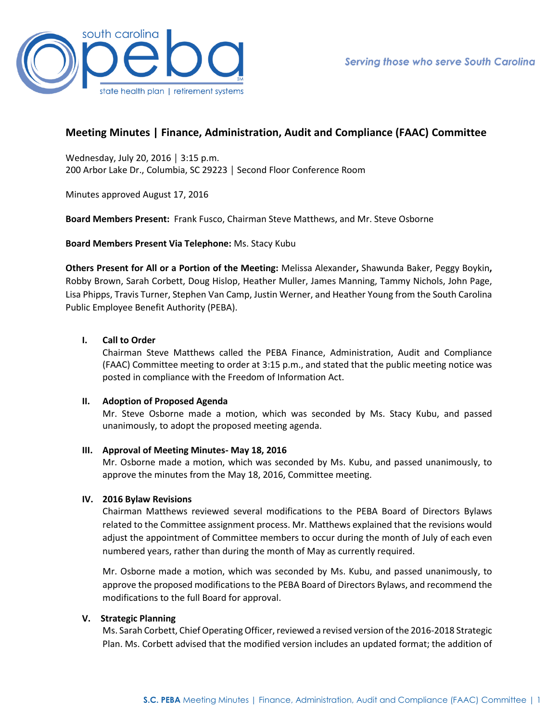

# **Meeting Minutes | Finance, Administration, Audit and Compliance (FAAC) Committee**

Wednesday, July 20, 2016 │ 3:15 p.m. 200 Arbor Lake Dr., Columbia, SC 29223 │ Second Floor Conference Room

Minutes approved August 17, 2016

**Board Members Present:** Frank Fusco, Chairman Steve Matthews, and Mr. Steve Osborne

**Board Members Present Via Telephone:** Ms. Stacy Kubu

**Others Present for All or a Portion of the Meeting:** Melissa Alexander**,** Shawunda Baker, Peggy Boykin**,**  Robby Brown, Sarah Corbett, Doug Hislop, Heather Muller, James Manning, Tammy Nichols, John Page, Lisa Phipps, Travis Turner, Stephen Van Camp, Justin Werner, and Heather Young from the South Carolina Public Employee Benefit Authority (PEBA).

# **I. Call to Order**

Chairman Steve Matthews called the PEBA Finance, Administration, Audit and Compliance (FAAC) Committee meeting to order at 3:15 p.m., and stated that the public meeting notice was posted in compliance with the Freedom of Information Act.

# **II. Adoption of Proposed Agenda**

Mr. Steve Osborne made a motion, which was seconded by Ms. Stacy Kubu, and passed unanimously, to adopt the proposed meeting agenda.

# **III. Approval of Meeting Minutes- May 18, 2016**

Mr. Osborne made a motion, which was seconded by Ms. Kubu, and passed unanimously, to approve the minutes from the May 18, 2016, Committee meeting.

# **IV. 2016 Bylaw Revisions**

Chairman Matthews reviewed several modifications to the PEBA Board of Directors Bylaws related to the Committee assignment process. Mr. Matthews explained that the revisions would adjust the appointment of Committee members to occur during the month of July of each even numbered years, rather than during the month of May as currently required.

Mr. Osborne made a motion, which was seconded by Ms. Kubu, and passed unanimously, to approve the proposed modifications to the PEBA Board of Directors Bylaws, and recommend the modifications to the full Board for approval.

# **V. Strategic Planning**

Ms. Sarah Corbett, Chief Operating Officer, reviewed a revised version of the 2016-2018 Strategic Plan. Ms. Corbett advised that the modified version includes an updated format; the addition of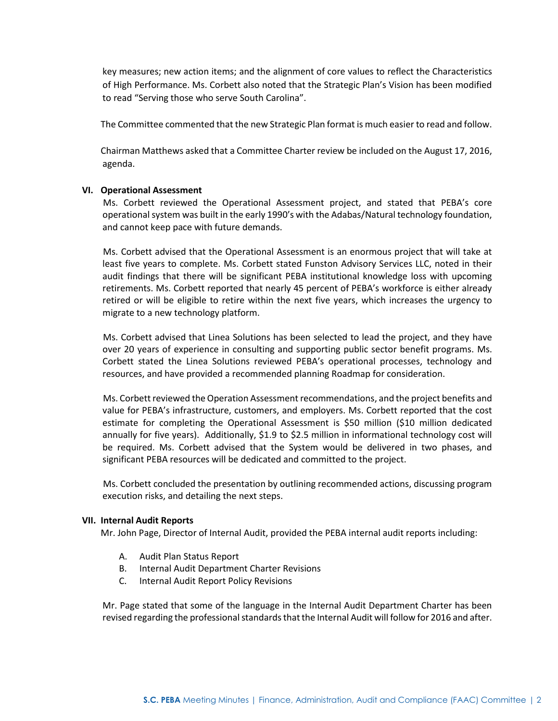key measures; new action items; and the alignment of core values to reflect the Characteristics of High Performance. Ms. Corbett also noted that the Strategic Plan's Vision has been modified to read "Serving those who serve South Carolina".

The Committee commented that the new Strategic Plan format is much easier to read and follow.

Chairman Matthews asked that a Committee Charter review be included on the August 17, 2016, agenda.

#### **VI. Operational Assessment**

Ms. Corbett reviewed the Operational Assessment project, and stated that PEBA's core operational system was built in the early 1990's with the Adabas/Natural technology foundation, and cannot keep pace with future demands.

 Ms. Corbett advised that the Operational Assessment is an enormous project that will take at least five years to complete. Ms. Corbett stated Funston Advisory Services LLC, noted in their audit findings that there will be significant PEBA institutional knowledge loss with upcoming retirements. Ms. Corbett reported that nearly 45 percent of PEBA's workforce is either already retired or will be eligible to retire within the next five years, which increases the urgency to migrate to a new technology platform.

Ms. Corbett advised that Linea Solutions has been selected to lead the project, and they have over 20 years of experience in consulting and supporting public sector benefit programs. Ms. Corbett stated the Linea Solutions reviewed PEBA's operational processes, technology and resources, and have provided a recommended planning Roadmap for consideration.

 Ms. Corbett reviewed the Operation Assessment recommendations, and the project benefits and value for PEBA's infrastructure, customers, and employers. Ms. Corbett reported that the cost estimate for completing the Operational Assessment is \$50 million (\$10 million dedicated annually for five years). Additionally, \$1.9 to \$2.5 million in informational technology cost will be required. Ms. Corbett advised that the System would be delivered in two phases, and significant PEBA resources will be dedicated and committed to the project.

 Ms. Corbett concluded the presentation by outlining recommended actions, discussing program execution risks, and detailing the next steps.

# **VII. Internal Audit Reports**

Mr. John Page, Director of Internal Audit, provided the PEBA internal audit reports including:

- A. Audit Plan Status Report
- B. Internal Audit Department Charter Revisions
- C. Internal Audit Report Policy Revisions

Mr. Page stated that some of the language in the Internal Audit Department Charter has been revised regarding the professional standards that the Internal Audit will follow for 2016 and after.